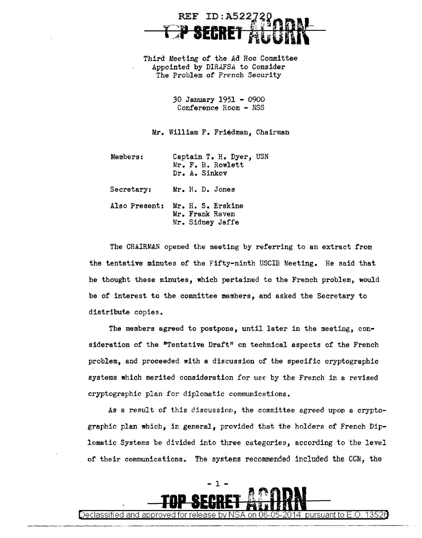## ID:A522 r;p **SECRET** AGORK=

Third Meeting of the Ad Hoc Committee Appointed by *DIRAFSA* to Consider The Problem of French Security

> *30* January 1951 - 0900 Conference Room - NSS

Mr. William F. Friedman, Chairman

| Members:      | Captain T. H. Dyer, USN<br>Mr. F. B. Rowlett<br>Dr. A. Sinkov |
|---------------|---------------------------------------------------------------|
| Secretary:    | Mr. H. D. Jones                                               |
| Also Present: | Mr. H. S. Erskine<br>Mr. Frank Raven<br>Mr. Sidney Jaffe      |

The CHAIRMAN opened the meeting by referring to an extract from the tentative minutes of the Fifty-ninth USCIB Meeting. He said that he thought these minutes, which pertained to the French problem, would be of interest to the committee members, and asked the Secretary to distribute copies.

The members agreed to postpone, until later in the meeting, consideration of the "Tentative Draft" on technical aspects of the French problem, and proceeded with a discussion of the specific cryptographic systems which merited consideration for use by the French in a revised cryptographic plan for diplomatic communications.

As a result *of* this discussion, the committee agreed upon a cryptographic plan which, in general, provided that the holders of French Diplomatic Systems be divided into three categories, according to the level of their communications. The systems recommended included the CCM, the